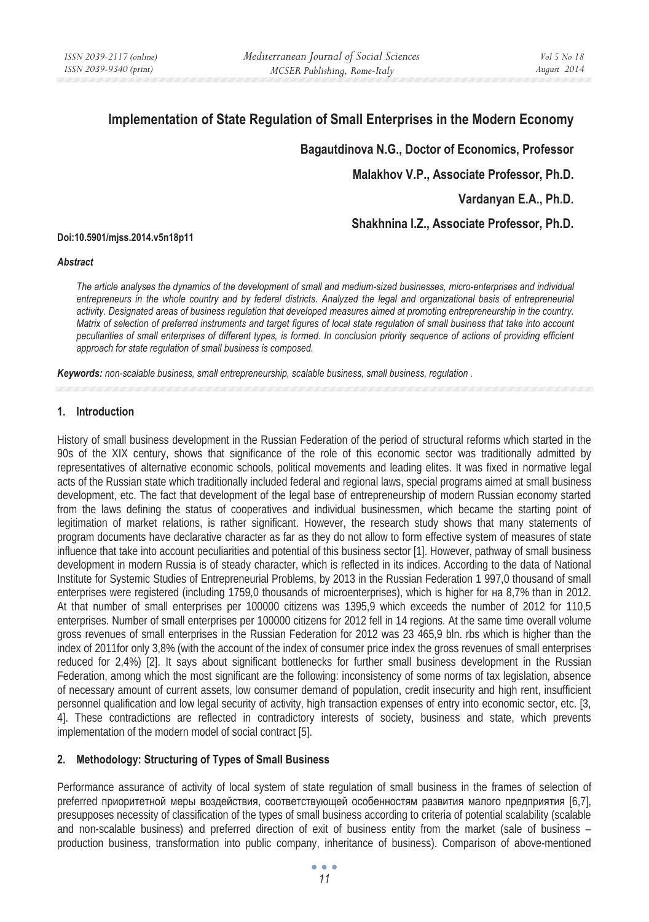# **Implementation of State Regulation of Small Enterprises in the Modern Economy**

 **Bagautdinova N.G., Doctor of Economics, Professor** 

**Malakhov V.P., Associate Professor, Ph.D.** 

**Vardanyan E.A., Ph.D.** 

**Shakhnina I.Z., Associate Professor, Ph.D.** 

#### **Doi:10.5901/mjss.2014.v5n18p11**

#### *Abstract*

*The article analyses the dynamics of the development of small and medium-sized businesses, micro-enterprises and individual*  entrepreneurs in the whole country and by federal districts. Analyzed the legal and organizational basis of entrepreneurial *activity. Designated areas of business regulation that developed measures aimed at promoting entrepreneurship in the country. Matrix of selection of preferred instruments and target figures of local state regulation of small business that take into account peculiarities of small enterprises of different types, is formed. In conclusion priority sequence of actions of providing efficient approach for state regulation of small business is composed.* 

*Keywords: non-scalable business, small entrepreneurship, scalable business, small business, regulation .*

#### **1. Introduction**

History of small business development in the Russian Federation of the period of structural reforms which started in the 90s of the XIX century, shows that significance of the role of this economic sector was traditionally admitted by representatives of alternative economic schools, political movements and leading elites. It was fixed in normative legal acts of the Russian state which traditionally included federal and regional laws, special programs aimed at small business development, etc. The fact that development of the legal base of entrepreneurship of modern Russian economy started from the laws defining the status of cooperatives and individual businessmen, which became the starting point of legitimation of market relations, is rather significant. However, the research study shows that many statements of program documents have declarative character as far as they do not allow to form effective system of measures of state influence that take into account peculiarities and potential of this business sector [1]. However, pathway of small business development in modern Russia is of steady character, which is reflected in its indices. According to the data of National Institute for Systemic Studies of Entrepreneurial Problems, by 2013 in the Russian Federation 1 997,0 thousand of small enterprises were registered (including 1759,0 thousands of microenterprises), which is higher for  $\text{Ha}$  8,7% than in 2012. At that number of small enterprises per 100000 citizens was 1395,9 which exceeds the number of 2012 for 110,5 enterprises. Number of small enterprises per 100000 citizens for 2012 fell in 14 regions. At the same time overall volume gross revenues of small enterprises in the Russian Federation for 2012 was 23 465,9 bln. rbs which is higher than the index of 2011for only 3,8% (with the account of the index of consumer price index the gross revenues of small enterprises reduced for 2,4%) [2]. It says about significant bottlenecks for further small business development in the Russian Federation, among which the most significant are the following: inconsistency of some norms of tax legislation, absence of necessary amount of current assets, low consumer demand of population, credit insecurity and high rent, insufficient personnel qualification and low legal security of activity, high transaction expenses of entry into economic sector, etc. [3, 4]. These contradictions are reflected in contradictory interests of society, business and state, which prevents implementation of the modern model of social contract [5].

### **2. Methodology: Structuring of Types of Small Business**

Performance assurance of activity of local system of state regulation of small business in the frames of selection of preferred приоритетной меры воздействия, соответствующей особенностям развития малого предприятия [6,7], presupposes necessity of classification of the types of small business according to criteria of potential scalability (scalable and non-scalable business) and preferred direction of exit of business entity from the market (sale of business – production business, transformation into public company, inheritance of business). Comparison of above-mentioned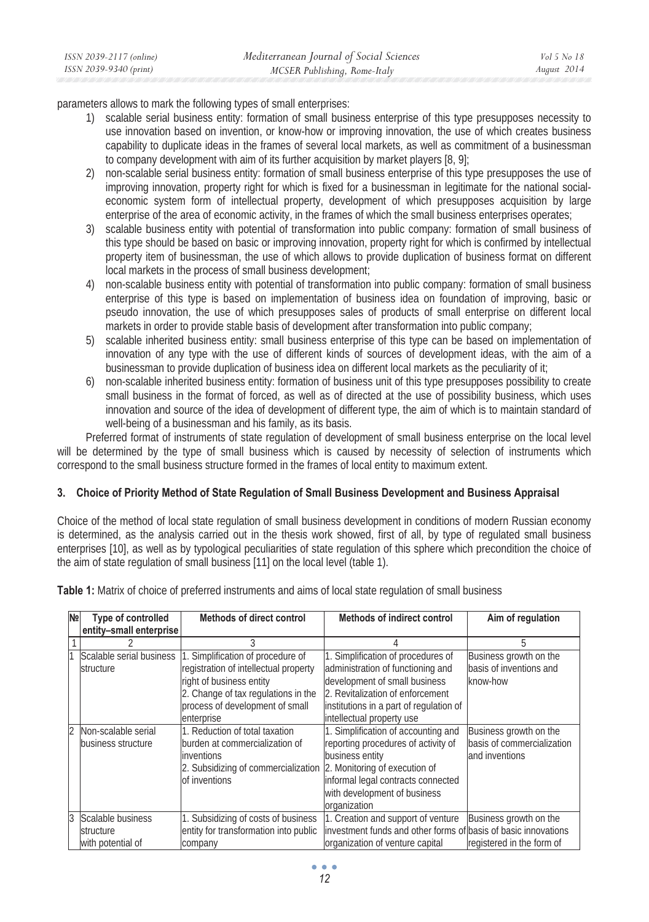| ISSN 2039-2117 (online) | Mediterranean Journal of Social Sciences | Vol 5 No 18 |
|-------------------------|------------------------------------------|-------------|
| ISSN 2039-9340 (print)  | MCSER Publishing, Rome-Italy             | August 2014 |
|                         |                                          |             |

parameters allows to mark the following types of small enterprises:

- 1) scalable serial business entity: formation of small business enterprise of this type presupposes necessity to use innovation based on invention, or know-how or improving innovation, the use of which creates business capability to duplicate ideas in the frames of several local markets, as well as commitment of a businessman to company development with aim of its further acquisition by market players [8, 9];
- 2) non-scalable serial business entity: formation of small business enterprise of this type presupposes the use of improving innovation, property right for which is fixed for a businessman in legitimate for the national socialeconomic system form of intellectual property, development of which presupposes acquisition by large enterprise of the area of economic activity, in the frames of which the small business enterprises operates;
- 3) scalable business entity with potential of transformation into public company: formation of small business of this type should be based on basic or improving innovation, property right for which is confirmed by intellectual property item of businessman, the use of which allows to provide duplication of business format on different local markets in the process of small business development;
- 4) non-scalable business entity with potential of transformation into public company: formation of small business enterprise of this type is based on implementation of business idea on foundation of improving, basic or pseudo innovation, the use of which presupposes sales of products of small enterprise on different local markets in order to provide stable basis of development after transformation into public company;
- 5) scalable inherited business entity: small business enterprise of this type can be based on implementation of innovation of any type with the use of different kinds of sources of development ideas, with the aim of a businessman to provide duplication of business idea on different local markets as the peculiarity of it;
- 6) non-scalable inherited business entity: formation of business unit of this type presupposes possibility to create small business in the format of forced, as well as of directed at the use of possibility business, which uses innovation and source of the idea of development of different type, the aim of which is to maintain standard of well-being of a businessman and his family, as its basis.

Preferred format of instruments of state regulation of development of small business enterprise on the local level will be determined by the type of small business which is caused by necessity of selection of instruments which correspond to the small business structure formed in the frames of local entity to maximum extent.

## **3. Choice of Priority Method of State Regulation of Small Business Development and Business Appraisal**

Choice of the method of local state regulation of small business development in conditions of modern Russian economy is determined, as the analysis carried out in the thesis work showed, first of all, by type of regulated small business enterprises [10], as well as by typological peculiarities of state regulation of this sphere which precondition the choice of the aim of state regulation of small business [11] on the local level (table 1).

| Table 1: Matrix of choice of preferred instruments and aims of local state regulation of small business |  |
|---------------------------------------------------------------------------------------------------------|--|
|---------------------------------------------------------------------------------------------------------|--|

| N <sub>2</sub> | Type of controlled                                  | <b>Methods of direct control</b>                                                                                                                                                               | Methods of indirect control                                                                                                                                                                                          | Aim of regulation                                                      |
|----------------|-----------------------------------------------------|------------------------------------------------------------------------------------------------------------------------------------------------------------------------------------------------|----------------------------------------------------------------------------------------------------------------------------------------------------------------------------------------------------------------------|------------------------------------------------------------------------|
|                | entity-small enterprise                             |                                                                                                                                                                                                |                                                                                                                                                                                                                      |                                                                        |
|                |                                                     |                                                                                                                                                                                                |                                                                                                                                                                                                                      | 5                                                                      |
|                | Scalable serial business<br>structure               | 1. Simplification of procedure of<br>registration of intellectual property<br>right of business entity<br>2. Change of tax regulations in the<br>process of development of small<br>enterprise | 1. Simplification of procedures of<br>administration of functioning and<br>development of small business<br>2. Revitalization of enforcement<br>institutions in a part of regulation of<br>intellectual property use | Business growth on the<br>basis of inventions and<br>know-how          |
| $\overline{2}$ | Non-scalable serial<br>business structure           | 1. Reduction of total taxation<br>burden at commercialization of<br>inventions<br>2. Subsidizing of commercialization 2. Monitoring of execution of<br>of inventions                           | 1. Simplification of accounting and<br>reporting procedures of activity of<br>business entity<br>informal legal contracts connected<br>with development of business<br>organization                                  | Business growth on the<br>basis of commercialization<br>and inventions |
| 3              | Scalable business<br>structure<br>with potential of | 1. Subsidizing of costs of business<br>entity for transformation into public<br>company                                                                                                        | 1. Creation and support of venture<br>investment funds and other forms of basis of basic innovations<br>organization of venture capital                                                                              | Business growth on the<br>registered in the form of                    |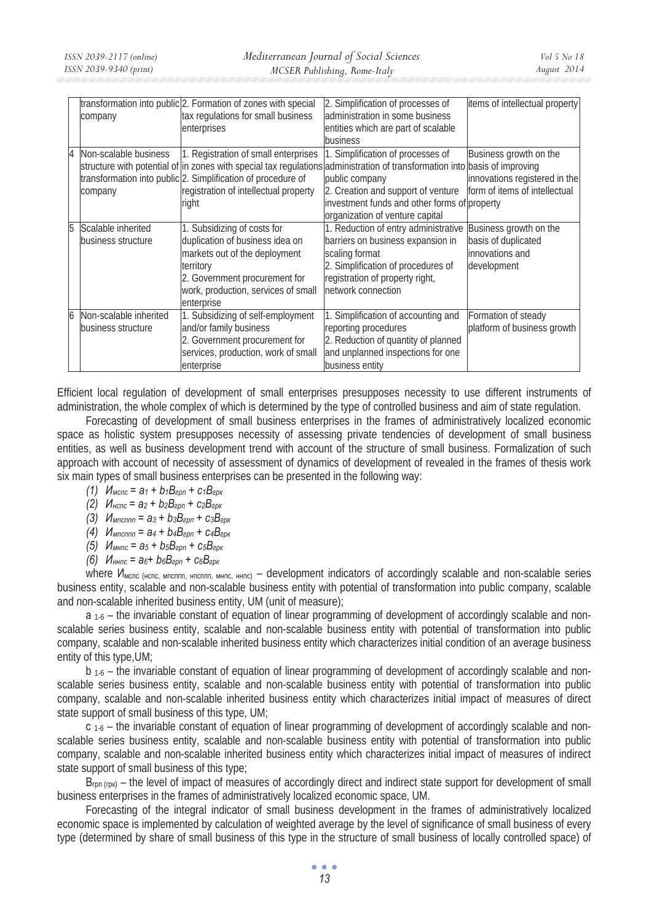|    | company                                      | transformation into public 2. Formation of zones with special<br>tax regulations for small business<br>enterprises                                                                                 | 2. Simplification of processes of<br>administration in some business<br>entities which are part of scalable<br>business                                                                                                                                                                                    | items of intellectual property                                                           |
|----|----------------------------------------------|----------------------------------------------------------------------------------------------------------------------------------------------------------------------------------------------------|------------------------------------------------------------------------------------------------------------------------------------------------------------------------------------------------------------------------------------------------------------------------------------------------------------|------------------------------------------------------------------------------------------|
| 4  | Non-scalable business<br>company             | 1. Registration of small enterprises<br>transformation into public 2. Simplification of procedure of<br>registration of intellectual property<br>right                                             | 1. Simplification of processes of<br>structure with potential of in zones with special tax regulations administration of transformation into basis of improving<br>public company<br>2. Creation and support of venture<br>investment funds and other forms of property<br>organization of venture capital | Business growth on the<br>innovations registered in the<br>form of items of intellectual |
| 15 | Scalable inherited<br>business structure     | 1. Subsidizing of costs for<br>duplication of business idea on<br>markets out of the deployment<br>territory<br>2. Government procurement for<br>work, production, services of small<br>enterprise | 1. Reduction of entry administrative<br>barriers on business expansion in<br>scaling format<br>2. Simplification of procedures of<br>registration of property right,<br>network connection                                                                                                                 | Business growth on the<br>basis of duplicated<br>innovations and<br>development          |
|    | Non-scalable inherited<br>business structure | 1. Subsidizing of self-employment<br>and/or family business<br>2. Government procurement for<br>services, production, work of small<br>enterprise                                                  | 1. Simplification of accounting and<br>reporting procedures<br>2. Reduction of quantity of planned<br>and unplanned inspections for one<br>business entity                                                                                                                                                 | Formation of steady<br>platform of business growth                                       |

Efficient local regulation of development of small enterprises presupposes necessity to use different instruments of administration, the whole complex of which is determined by the type of controlled business and aim of state regulation.

Forecasting of development of small business enterprises in the frames of administratively localized economic space as holistic system presupposes necessity of assessing private tendencies of development of small business entities, as well as business development trend with account of the structure of small business. Formalization of such approach with account of necessity of assessment of dynamics of development of revealed in the frames of thesis work six main types of small business enterprises can be presented in the following way:

- $(1)$   $M_{\text{M Cnc}} = a_1 + b_1 B_{\text{2Dn}} + c_1 B_{\text{2DK}}$
- $(2)$  *M*<sub>HCNC</sub> =  $a_2 + b_2B_{2D} + c_2B_{2D}$
- $(3)$  *M*<sub>Mncnnn</sub> =  $a_3 + b_3B_{\text{e}pn} + c_3B_{\text{e}pk}$
- $(4)$  *M*<sub>Mncnnn</sub> =  $a_4 + b_4B_{2D} + c_4B_{2D}$
- $(5)$  *M*<sub>MHnc</sub> =  $a_5 + b_5B_{2p} + c_5B_{2p}$
- $(6)$  *H*<sub>HHnc</sub> =  $a_6 + b_6B_{200} + c_6B_{20k}$

where И<sub>мспс (нспс, мпсппп, нпсппп, мнпс, ннпс)</sub> – development indicators of accordingly scalable and non-scalable series business entity, scalable and non-scalable business entity with potential of transformation into public company, scalable and non-scalable inherited business entity, UM (unit of measure);

 $a_{1-6}$  – the invariable constant of equation of linear programming of development of accordingly scalable and nonscalable series business entity, scalable and non-scalable business entity with potential of transformation into public company, scalable and non-scalable inherited business entity which characterizes initial condition of an average business entity of this type,UM;

b 1-6 – the invariable constant of equation of linear programming of development of accordingly scalable and nonscalable series business entity, scalable and non-scalable business entity with potential of transformation into public company, scalable and non-scalable inherited business entity which characterizes initial impact of measures of direct state support of small business of this type, UM;

 $c_1$ -6 – the invariable constant of equation of linear programming of development of accordingly scalable and nonscalable series business entity, scalable and non-scalable business entity with potential of transformation into public company, scalable and non-scalable inherited business entity which characterizes initial impact of measures of indirect state support of small business of this type;

B<sub>rpn (rpk)</sub> – the level of impact of measures of accordingly direct and indirect state support for development of small business enterprises in the frames of administratively localized economic space, UM.

Forecasting of the integral indicator of small business development in the frames of administratively localized economic space is implemented by calculation of weighted average by the level of significance of small business of every type (determined by share of small business of this type in the structure of small business of locally controlled space) of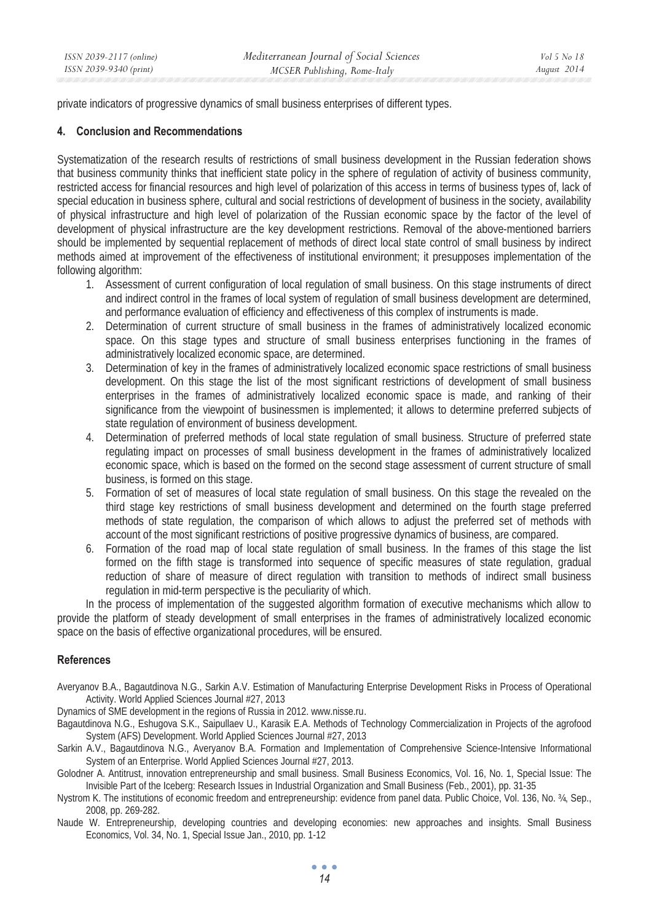private indicators of progressive dynamics of small business enterprises of different types.

## **4. Conclusion and Recommendations**

Systematization of the research results of restrictions of small business development in the Russian federation shows that business community thinks that inefficient state policy in the sphere of regulation of activity of business community, restricted access for financial resources and high level of polarization of this access in terms of business types of, lack of special education in business sphere, cultural and social restrictions of development of business in the society, availability of physical infrastructure and high level of polarization of the Russian economic space by the factor of the level of development of physical infrastructure are the key development restrictions. Removal of the above-mentioned barriers should be implemented by sequential replacement of methods of direct local state control of small business by indirect methods aimed at improvement of the effectiveness of institutional environment; it presupposes implementation of the following algorithm:

- 1. Assessment of current configuration of local regulation of small business. On this stage instruments of direct and indirect control in the frames of local system of regulation of small business development are determined, and performance evaluation of efficiency and effectiveness of this complex of instruments is made.
- 2. Determination of current structure of small business in the frames of administratively localized economic space. On this stage types and structure of small business enterprises functioning in the frames of administratively localized economic space, are determined.
- 3. Determination of key in the frames of administratively localized economic space restrictions of small business development. On this stage the list of the most significant restrictions of development of small business enterprises in the frames of administratively localized economic space is made, and ranking of their significance from the viewpoint of businessmen is implemented; it allows to determine preferred subjects of state regulation of environment of business development.
- 4. Determination of preferred methods of local state regulation of small business. Structure of preferred state regulating impact on processes of small business development in the frames of administratively localized economic space, which is based on the formed on the second stage assessment of current structure of small business, is formed on this stage.
- 5. Formation of set of measures of local state regulation of small business. On this stage the revealed on the third stage key restrictions of small business development and determined on the fourth stage preferred methods of state regulation, the comparison of which allows to adjust the preferred set of methods with account of the most significant restrictions of positive progressive dynamics of business, are compared.
- 6. Formation of the road map of local state regulation of small business. In the frames of this stage the list formed on the fifth stage is transformed into sequence of specific measures of state regulation, gradual reduction of share of measure of direct regulation with transition to methods of indirect small business regulation in mid-term perspective is the peculiarity of which.

In the process of implementation of the suggested algorithm formation of executive mechanisms which allow to provide the platform of steady development of small enterprises in the frames of administratively localized economic space on the basis of effective organizational procedures, will be ensured.

### **References**

Averyanov B.A., Bagautdinova N.G., Sarkin A.V. Estimation of Manufacturing Enterprise Development Risks in Process of Operational Activity. World Applied Sciences Journal #27, 2013

Dynamics of SME development in the regions of Russia in 2012. www.nisse.ru.

- Bagautdinova N.G., Eshugova S.K., Saipullaev U., Karasik E.A. Methods of Technology Commercialization in Projects of the agrofood System (AFS) Development. World Applied Sciences Journal #27, 2013
- Sarkin A.V., Bagautdinova N.G., Averyanov B.A. Formation and Implementation of Comprehensive Science-Intensive Informational System of an Enterprise. World Applied Sciences Journal #27, 2013.
- Golodner A. Antitrust, innovation entrepreneurship and small business. Small Business Economics, Vol. 16, No. 1, Special Issue: The Invisible Part of the Iceberg: Research Issues in Industrial Organization and Small Business (Feb., 2001), pp. 31-35
- Nystrom K. The institutions of economic freedom and entrepreneurship: evidence from panel data. Public Choice, Vol. 136, No. ¾, Sep., 2008, pp. 269-282.
- Naude W. Entrepreneurship, developing countries and developing economies: new approaches and insights. Small Business Economics, Vol. 34, No. 1, Special Issue Jan., 2010, pp. 1-12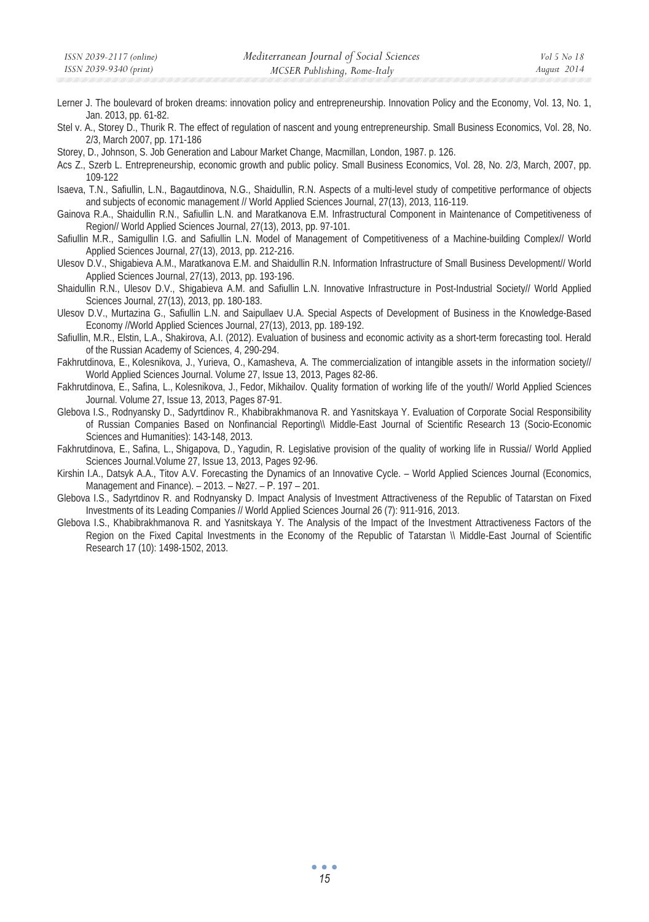- Lerner J. The boulevard of broken dreams: innovation policy and entrepreneurship. Innovation Policy and the Economy, Vol. 13, No. 1, Jan. 2013, pp. 61-82.
- Stel v. A., Storey D., Thurik R. The effect of regulation of nascent and young entrepreneurship. Small Business Economics, Vol. 28, No. 2/3, March 2007, pp. 171-186
- Storey, D., Johnson, S. Job Generation and Labour Market Change, Macmillan, London, 1987. p. 126.
- Acs Z., Szerb L. Entrepreneurship, economic growth and public policy. Small Business Economics, Vol. 28, No. 2/3, March, 2007, pp. 109-122
- Isaeva, T.N., Safiullin, L.N., Bagautdinova, N.G., Shaidullin, R.N. Aspects of a multi-level study of competitive performance of objects and subjects of economic management // World Applied Sciences Journal, 27(13), 2013, 116-119.
- Gainova R.A., Shaidullin R.N., Safiullin L.N. and Maratkanova E.M. Infrastructural Component in Maintenance of Competitiveness of Region// World Applied Sciences Journal, 27(13), 2013, pp. 97-101.
- Safiullin M.R., Samigullin I.G. and Safiullin L.N. Model of Management of Competitiveness of a Machine-building Complex// World Applied Sciences Journal, 27(13), 2013, pp. 212-216.
- Ulesov D.V., Shigabieva A.M., Maratkanova E.M. and Shaidullin R.N. Information Infrastructure of Small Business Development// World Applied Sciences Journal, 27(13), 2013, pp. 193-196.
- Shaidullin R.N., Ulesov D.V., Shigabieva A.M. and Safiullin L.N. Innovative Infrastructure in Post-Industrial Society// World Applied Sciences Journal, 27(13), 2013, pp. 180-183.
- Ulesov D.V., Murtazina G., Safiullin L.N. and Saipullaev U.A. Special Aspects of Development of Business in the Knowledge-Based Economy //World Applied Sciences Journal, 27(13), 2013, pp. 189-192.
- Safiullin, M.R., Elstin, L.A., Shakirova, A.I. (2012). Evaluation of business and economic activity as a short-term forecasting tool. Herald of the Russian Academy of Sciences, 4, 290-294.
- Fakhrutdinova, E., Kolesnikova, J., Yurieva, O., Kamasheva, A. The commercialization of intangible assets in the information society// World Applied Sciences Journal. Volume 27, Issue 13, 2013, Pages 82-86.
- Fakhrutdinova, E., Safina, L., Kolesnikova, J., Fedor, Mikhailov. Quality formation of working life of the youth// World Applied Sciences Journal. Volume 27, Issue 13, 2013, Pages 87-91.
- Glebova I.S., Rodnyansky D., Sadyrtdinov R., Khabibrakhmanova R. and Yasnitskaya Y. Evaluation of Corporate Social Responsibility of Russian Companies Based on Nonfinancial Reporting\\ Middle-East Journal of Scientific Research 13 (Socio-Economic Sciences and Humanities): 143-148, 2013.
- Fakhrutdinova, E., Safina, L., Shigapova, D., Yagudin, R. Legislative provision of the quality of working life in Russia// World Applied Sciences Journal.Volume 27, Issue 13, 2013, Pages 92-96.
- Kirshin I.A., Datsyk A.A., Titov A.V. Forecasting the Dynamics of an Innovative Cycle. World Applied Sciences Journal (Economics, Management and Finance). – 2013. – No. 27. – P. 197 – 201.
- Glebova I.S., Sadyrtdinov R. and Rodnyansky D. Impact Analysis of Investment Attractiveness of the Republic of Tatarstan on Fixed Investments of its Leading Companies // World Applied Sciences Journal 26 (7): 911-916, 2013.
- Glebova I.S., Khabibrakhmanova R. and Yasnitskaya Y. The Analysis of the Impact of the Investment Attractiveness Factors of the Region on the Fixed Capital Investments in the Economy of the Republic of Tatarstan \\ Middle-East Journal of Scientific Research 17 (10): 1498-1502, 2013.